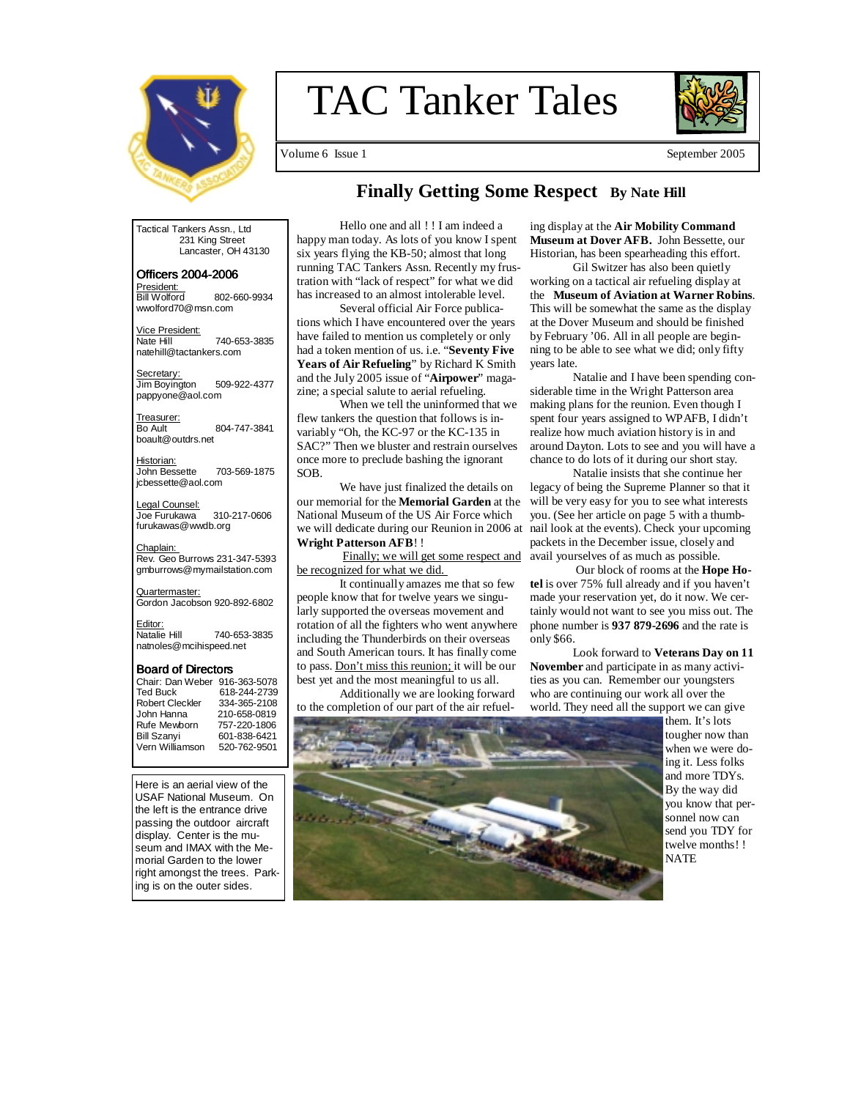

# TAC Tanker Tales



Volume 6 Issue 1 September 2005

## **Finally Getting Some Respect By Nate Hill**

Tactical Tankers Assn., Ltd 231 King Street Lancaster, OH 43130

Officers 2004- Officers 2004-2006 <u>President:</u><br>Bill Wolford 802-660-9934 wwolford70@msn.com

Vice President:<br>Nate Hill Nate Hill 740-653-3835 natehill@tactankers.com

Secretary: Jim Boyington 509-922-4377 pappyone@aol.com

Treasurer:<br>Bo Ault 804-747-3841 boault@outdrs.net

Historian:<br>John Bessette 703-569-1875 jcbessette@aol.com

Legal Counsel: Joe Furukawa 310-217-0606 furukawas@wwdb.org

<u>Chaplain:</u><br>Rev. Geo Burrows 231-347-5393 gmburrows@mymailstation.com

Quartermaster:<br>Gordon Jacobson 920-892-6802

Editor:<br>Natalie Hill 740-653-3835 natnoles@mcihispeed.net

#### Board of Directors

| Chair: Dan Weber 916-363-5078 |              |
|-------------------------------|--------------|
| <b>Ted Buck</b>               | 618-244-2739 |
| <b>Robert Cleckler</b>        | 334-365-2108 |
| John Hanna                    | 210-658-0819 |
| Rufe Mewborn                  | 757-220-1806 |
| <b>Bill Szanyi</b>            | 601-838-6421 |
| Vern Williamson               | 520-762-9501 |
|                               |              |

Here is an aerial view of the USAF National Museum. On the left is the entrance drive passing the outdoor aircraft display. Center is the museum and IMAX with the Memorial Garden to the lower right amongst the trees. Parking is on the outer sides.

Hello one and all ! ! I am indeed a happy man today. As lots of you know I spent six years flying the KB-50; almost that long running TAC Tankers Assn. Recently my frustration with "lack of respect" for what we did has increased to an almost intolerable level.

 Several official Air Force publications which I have encountered over the years have failed to mention us completely or only had a token mention of us. i.e. "**Seventy Five Years of Air Refueling**" by Richard K Smith and the July 2005 issue of "**Airpower**" magazine; a special salute to aerial refueling.

 When we tell the uninformed that we flew tankers the question that follows is invariably "Oh, the KC-97 or the KC-135 in SAC?" Then we bluster and restrain ourselves once more to preclude bashing the ignorant SOB.

 We have just finalized the details on our memorial for the **Memorial Garden** at the National Museum of the US Air Force which we will dedicate during our Reunion in 2006 at **Wright Patterson AFB**! !

 Finally; we will get some respect and be recognized for what we did.

 It continually amazes me that so few people know that for twelve years we singularly supported the overseas movement and rotation of all the fighters who went anywhere including the Thunderbirds on their overseas and South American tours. It has finally come to pass. Don't miss this reunion; it will be our best yet and the most meaningful to us all.

 Additionally we are looking forward to the completion of our part of the air refueling display at the **Air Mobility Command Museum at Dover AFB.** John Bessette, our Historian, has been spearheading this effort.

 Gil Switzer has also been quietly working on a tactical air refueling display at the **Museum of Aviation at Warner Robins**. This will be somewhat the same as the display at the Dover Museum and should be finished by February '06. All in all people are beginning to be able to see what we did; only fifty years late.

 Natalie and I have been spending considerable time in the Wright Patterson area making plans for the reunion. Even though I spent four years assigned to WPAFB, I didn't realize how much aviation history is in and around Dayton. Lots to see and you will have a chance to do lots of it during our short stay.

 Natalie insists that she continue her legacy of being the Supreme Planner so that it will be very easy for you to see what interests you. (See her article on page 5 with a thumbnail look at the events). Check your upcoming packets in the December issue, closely and avail yourselves of as much as possible.

 Our block of rooms at the **Hope Hotel** is over 75% full already and if you haven't made your reservation yet, do it now. We certainly would not want to see you miss out. The phone number is **937 879-2696** and the rate is only \$66.

 Look forward to **Veterans Day on 11 November** and participate in as many activities as you can. Remember our youngsters who are continuing our work all over the world. They need all the support we can give



them. It's lots tougher now than when we were doing it. Less folks and more TDYs. By the way did you know that personnel now can send you TDY for twelve months! ! **NATE**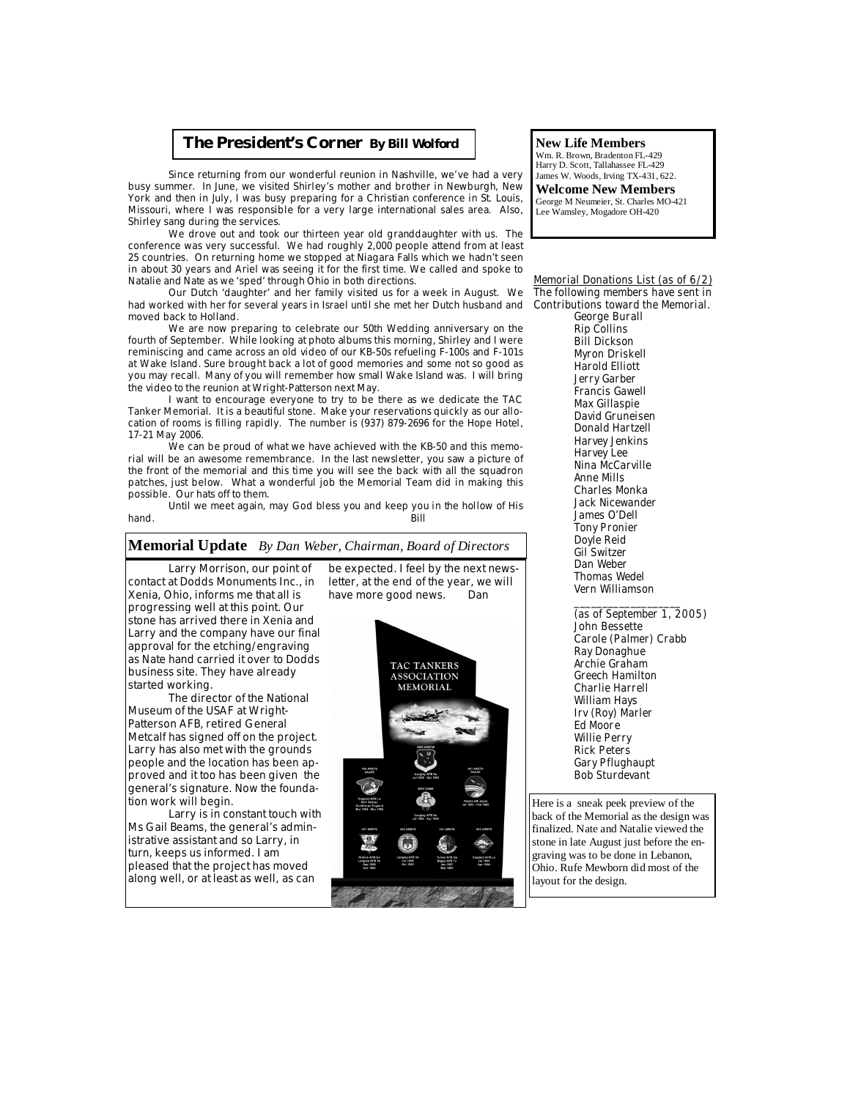#### **The President's Corner** *By Bill Wolford*

 Since returning from our wonderful reunion in Nashville, we've had a very busy summer. In June, we visited Shirley's mother and brother in Newburgh, New York and then in July, I was busy preparing for a Christian conference in St. Louis, Missouri, where I was responsible for a very large international sales area. Also, Shirley sang during the services.

 We drove out and took our thirteen year old granddaughter with us. The conference was very successful. We had roughly 2,000 people attend from at least 25 countries. On returning home we stopped at Niagara Falls which we hadn't seen in about 30 years and Ariel was seeing it for the first time. We called and spoke to Natalie and Nate as we 'sped' through Ohio in both directions.

 Our Dutch 'daughter' and her family visited us for a week in August. We had worked with her for several years in Israel until she met her Dutch husband and moved back to Holland.

 We are now preparing to celebrate our 50th Wedding anniversary on the fourth of September. While looking at photo albums this morning, Shirley and I were reminiscing and came across an old video of our KB-50s refueling F-100s and F-101s at Wake Island. Sure brought back a lot of good memories and some not so good as you may recall. Many of you will remember how small Wake Island was. I will bring the video to the reunion at Wright-Patterson next May.

 I want to encourage everyone to try to be there as we dedicate the TAC Tanker Memorial. It is a beautiful stone. Make your reservations quickly as our allocation of rooms is filling rapidly. The number is (937) 879-2696 for the Hope Hotel, 17-21 May 2006.

 We can be proud of what we have achieved with the KB-50 and this memorial will be an awesome remembrance. In the last newsletter, you saw a picture of the front of the memorial and this time you will see the back with all the squadron patches, just below. What a wonderful job the Memorial Team did in making this possible. Our hats off to them.

Until we meet again, may God bless you and keep you in the hollow of His hand. hand. Bill

**Memorial Update** *By Dan Weber, Chairman, Board of Directors*

#### Larry Morrison, our point of contact at Dodds Monuments Inc., in Xenia, Ohio, informs me that all is progressing well at this point. Our stone has arrived there in Xenia and Larry and the company have our final approval for the etching/engraving as Nate hand carried it over to Dodds business site. They have already started working.

 The director of the National Museum of the USAF at Wright-Patterson AFB, retired General Metcalf has signed off on the project. Larry has also met with the grounds people and the location has been approved and it too has been given the general's signature. Now the foundation work will begin.

 Larry is in constant touch with Ms Gail Beams, the general's administrative assistant and so Larry, in turn, keeps us informed. I am pleased that the project has moved along well, or at least as well, as can

be expected. I feel by the next newsletter, at the end of the year, we will have more good news. Dan



#### **New Life Members**

Wm. R. Brown, Bradenton FL-429 Harry D. Scott, Tallahassee FL-429 James W. Woods, Irving TX-431, 622. **Welcome New Members** 

George M Neumeier, St. Charles MO-421 Lee Wamsley, Mogadore OH-420

#### **Memorial Donations List (as of 6/2) The following members have sent in Contributions toward the Memorial.**

 **George Burall Rip Collins Bill Dickson Myron Driskell Harold Elliott Jerry Garber Francis Gawell Max Gillaspie David Gruneisen Donald Hartzell Harvey Jenkins Harvey Lee Nina McCarville Anne Mills Charles Monka Jack Nicewander James O'Dell Tony Pronier Doyle Reid Gil Switzer Dan Weber Thomas Wedel Vern Williamson** 

 **\_\_\_\_\_\_\_\_\_\_\_\_\_\_\_\_\_\_\_ (as of September 1, 2005) John Bessette Carole (Palmer) Crabb Ray Donaghue Archie Graham Greech Hamilton Charlie Harrell William Hays Irv (Roy) Marler Ed Moore Willie Perry Rick Peters Gary Pflughaupt Bob Sturdevant** 

Here is a sneak peek preview of the back of the Memorial as the design was finalized. Nate and Natalie viewed the stone in late August just before the engraving was to be done in Lebanon, Ohio. Rufe Mewborn did most of the layout for the design.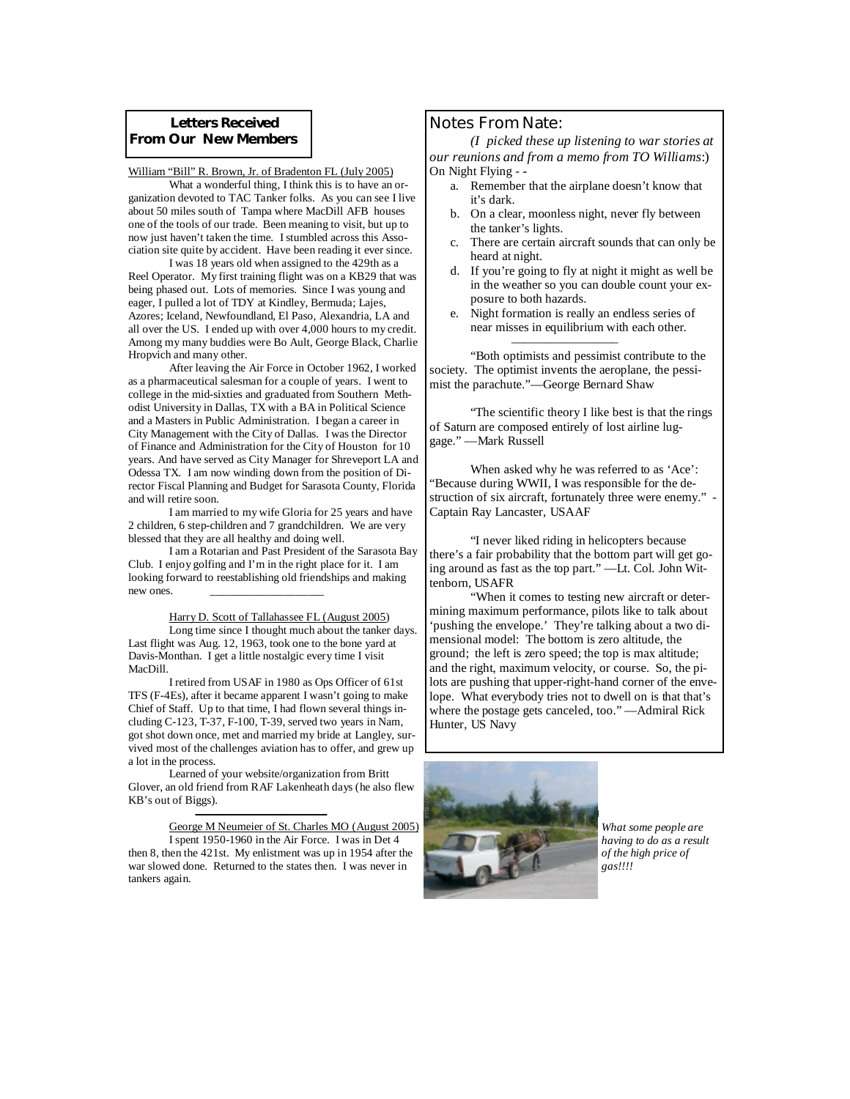#### **Letters Received From Our New Members**

William "Bill" R. Brown, Jr. of Bradenton FL (July 2005)

 What a wonderful thing, I think this is to have an organization devoted to TAC Tanker folks. As you can see I live about 50 miles south of Tampa where MacDill AFB houses one of the tools of our trade. Been meaning to visit, but up to now just haven't taken the time. I stumbled across this Association site quite by accident. Have been reading it ever since.

 I was 18 years old when assigned to the 429th as a Reel Operator. My first training flight was on a KB29 that was being phased out. Lots of memories. Since I was young and eager, I pulled a lot of TDY at Kindley, Bermuda; Lajes, Azores; Iceland, Newfoundland, El Paso, Alexandria, LA and all over the US. I ended up with over 4,000 hours to my credit. Among my many buddies were Bo Ault, George Black, Charlie Hropvich and many other.

 After leaving the Air Force in October 1962, I worked as a pharmaceutical salesman for a couple of years. I went to college in the mid-sixties and graduated from Southern Methodist University in Dallas, TX with a BA in Political Science and a Masters in Public Administration. I began a career in City Management with the City of Dallas. I was the Director of Finance and Administration for the City of Houston for 10 years. And have served as City Manager for Shreveport LA and Odessa TX. I am now winding down from the position of Director Fiscal Planning and Budget for Sarasota County, Florida and will retire soon.

 I am married to my wife Gloria for 25 years and have 2 children, 6 step-children and 7 grandchildren. We are very blessed that they are all healthy and doing well.

 I am a Rotarian and Past President of the Sarasota Bay Club. I enjoy golfing and I'm in the right place for it. I am looking forward to reestablishing old friendships and making new ones.

 Harry D. Scott of Tallahassee FL (August 2005) Long time since I thought much about the tanker days. Last flight was Aug. 12, 1963, took one to the bone yard at Davis-Monthan. I get a little nostalgic every time I visit MacDill.

 I retired from USAF in 1980 as Ops Officer of 61st TFS (F-4Es), after it became apparent I wasn't going to make Chief of Staff. Up to that time, I had flown several things including C-123, T-37, F-100, T-39, served two years in Nam, got shot down once, met and married my bride at Langley, survived most of the challenges aviation has to offer, and grew up a lot in the process.

 Learned of your website/organization from Britt Glover, an old friend from RAF Lakenheath days (he also flew KB's out of Biggs).

 ——————————— ——————————— ———————————– George M Neumeier of St. Charles MO (August 2005)

 I spent 1950-1960 in the Air Force. I was in Det 4 then 8, then the 421st. My enlistment was up in 1954 after the war slowed done. Returned to the states then. I was never in tankers again.

#### **Notes From Nate:**

*(I picked these up listening to war stories at our reunions and from a memo from TO Williams*:) On Night Flying - **-** 

- a. Remember that the airplane doesn't know that it's dark.
- b. On a clear, moonless night, never fly between the tanker's lights.
- c. There are certain aircraft sounds that can only be heard at night.
- d. If you're going to fly at night it might as well be in the weather so you can double count your exposure to both hazards.
- e. Night formation is really an endless series of near misses in equilibrium with each other.

 "Both optimists and pessimist contribute to the society. The optimist invents the aeroplane, the pessimist the parachute."—George Bernard Shaw

————————–

 "The scientific theory I like best is that the rings of Saturn are composed entirely of lost airline luggage." —Mark Russell

 When asked why he was referred to as 'Ace': "Because during WWII, I was responsible for the destruction of six aircraft, fortunately three were enemy." Captain Ray Lancaster, USAAF

 "I never liked riding in helicopters because there's a fair probability that the bottom part will get going around as fast as the top part." —Lt. Col. John Wittenborn, USAFR

 "When it comes to testing new aircraft or determining maximum performance, pilots like to talk about 'pushing the envelope.' They're talking about a two dimensional model: The bottom is zero altitude, the ground; the left is zero speed; the top is max altitude; and the right, maximum velocity, or course. So, the pilots are pushing that upper-right-hand corner of the envelope. What everybody tries not to dwell on is that that's where the postage gets canceled, too." —Admiral Rick Hunter, US Navy



*What some people are having to do as a result of the high price of gas!!!!*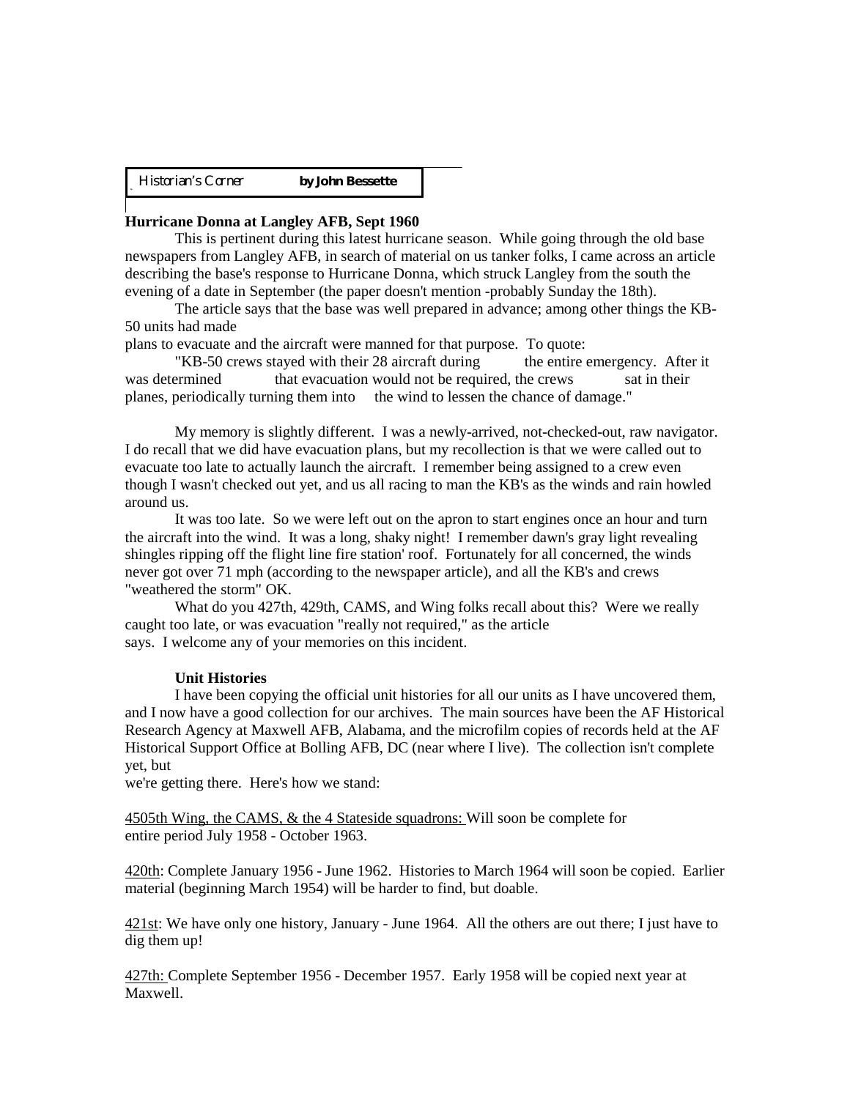Historian's Corner **by John Bessette** 

#### **Hurricane Donna at Langley AFB, Sept 1960**

 This is pertinent during this latest hurricane season. While going through the old base newspapers from Langley AFB, in search of material on us tanker folks, I came across an article describing the base's response to Hurricane Donna, which struck Langley from the south the evening of a date in September (the paper doesn't mention -probably Sunday the 18th).

 The article says that the base was well prepared in advance; among other things the KB-50 units had made

plans to evacuate and the aircraft were manned for that purpose. To quote:

 "KB-50 crews stayed with their 28 aircraft during the entire emergency. After it was determined that evacuation would not be required, the crews sat in their planes, periodically turning them into the wind to lessen the chance of damage."

 My memory is slightly different. I was a newly-arrived, not-checked-out, raw navigator. I do recall that we did have evacuation plans, but my recollection is that we were called out to evacuate too late to actually launch the aircraft. I remember being assigned to a crew even though I wasn't checked out yet, and us all racing to man the KB's as the winds and rain howled around us.

 It was too late. So we were left out on the apron to start engines once an hour and turn the aircraft into the wind. It was a long, shaky night! I remember dawn's gray light revealing shingles ripping off the flight line fire station' roof. Fortunately for all concerned, the winds never got over 71 mph (according to the newspaper article), and all the KB's and crews "weathered the storm" OK.

 What do you 427th, 429th, CAMS, and Wing folks recall about this? Were we really caught too late, or was evacuation "really not required," as the article says. I welcome any of your memories on this incident.

#### **Unit Histories**

 I have been copying the official unit histories for all our units as I have uncovered them, and I now have a good collection for our archives. The main sources have been the AF Historical Research Agency at Maxwell AFB, Alabama, and the microfilm copies of records held at the AF Historical Support Office at Bolling AFB, DC (near where I live). The collection isn't complete yet, but

we're getting there. Here's how we stand:

4505th Wing, the CAMS, & the 4 Stateside squadrons: Will soon be complete for entire period July 1958 - October 1963.

420th: Complete January 1956 - June 1962. Histories to March 1964 will soon be copied. Earlier material (beginning March 1954) will be harder to find, but doable.

421st: We have only one history, January - June 1964. All the others are out there; I just have to dig them up!

427th: Complete September 1956 - December 1957. Early 1958 will be copied next year at Maxwell.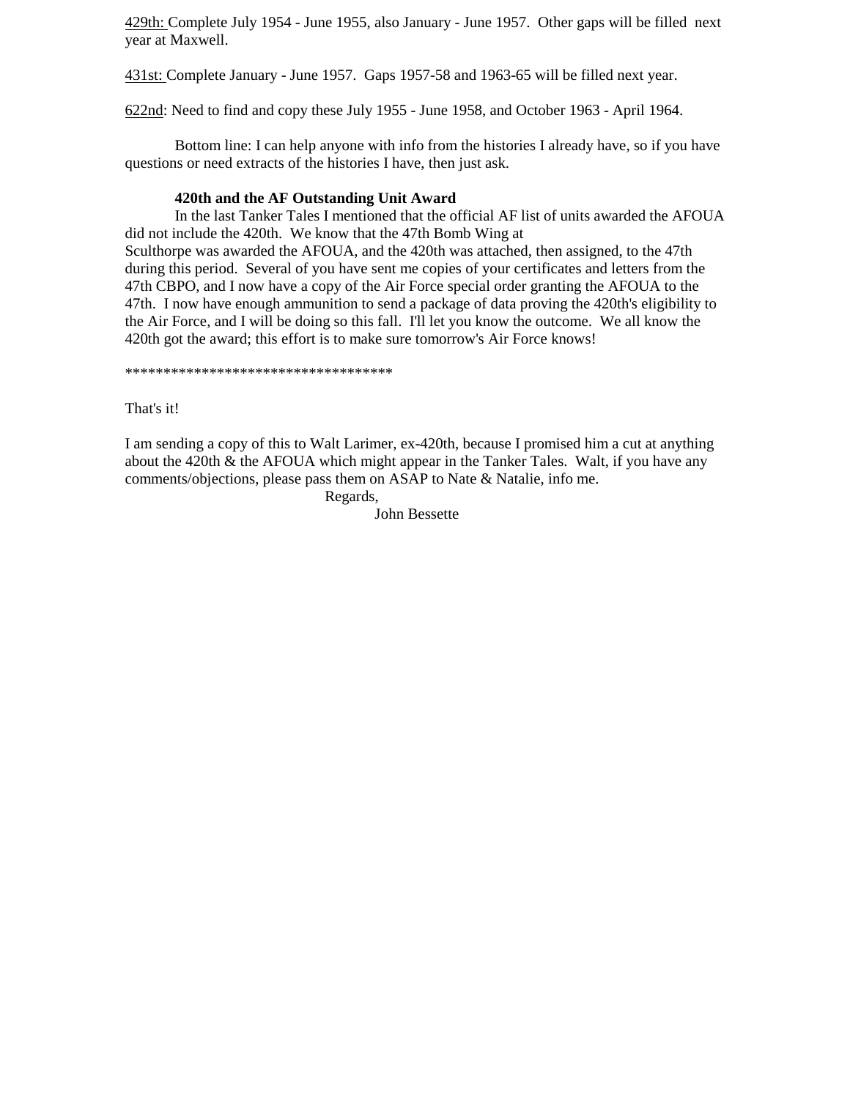429th: Complete July 1954 - June 1955, also January - June 1957. Other gaps will be filled next year at Maxwell.

431st: Complete January - June 1957. Gaps 1957-58 and 1963-65 will be filled next year.

622nd: Need to find and copy these July 1955 - June 1958, and October 1963 - April 1964.

 Bottom line: I can help anyone with info from the histories I already have, so if you have questions or need extracts of the histories I have, then just ask.

#### **420th and the AF Outstanding Unit Award**

 In the last Tanker Tales I mentioned that the official AF list of units awarded the AFOUA did not include the 420th. We know that the 47th Bomb Wing at Sculthorpe was awarded the AFOUA, and the 420th was attached, then assigned, to the 47th during this period. Several of you have sent me copies of your certificates and letters from the 47th CBPO, and I now have a copy of the Air Force special order granting the AFOUA to the 47th. I now have enough ammunition to send a package of data proving the 420th's eligibility to the Air Force, and I will be doing so this fall. I'll let you know the outcome. We all know the 420th got the award; this effort is to make sure tomorrow's Air Force knows!

\*\*\*\*\*\*\*\*\*\*\*\*\*\*\*\*\*\*\*\*\*\*\*\*\*\*\*\*\*\*\*\*\*\*\*

That's it!

I am sending a copy of this to Walt Larimer, ex-420th, because I promised him a cut at anything about the 420th  $\&$  the AFOUA which might appear in the Tanker Tales. Walt, if you have any comments/objections, please pass them on ASAP to Nate & Natalie, info me.

Regards,

John Bessette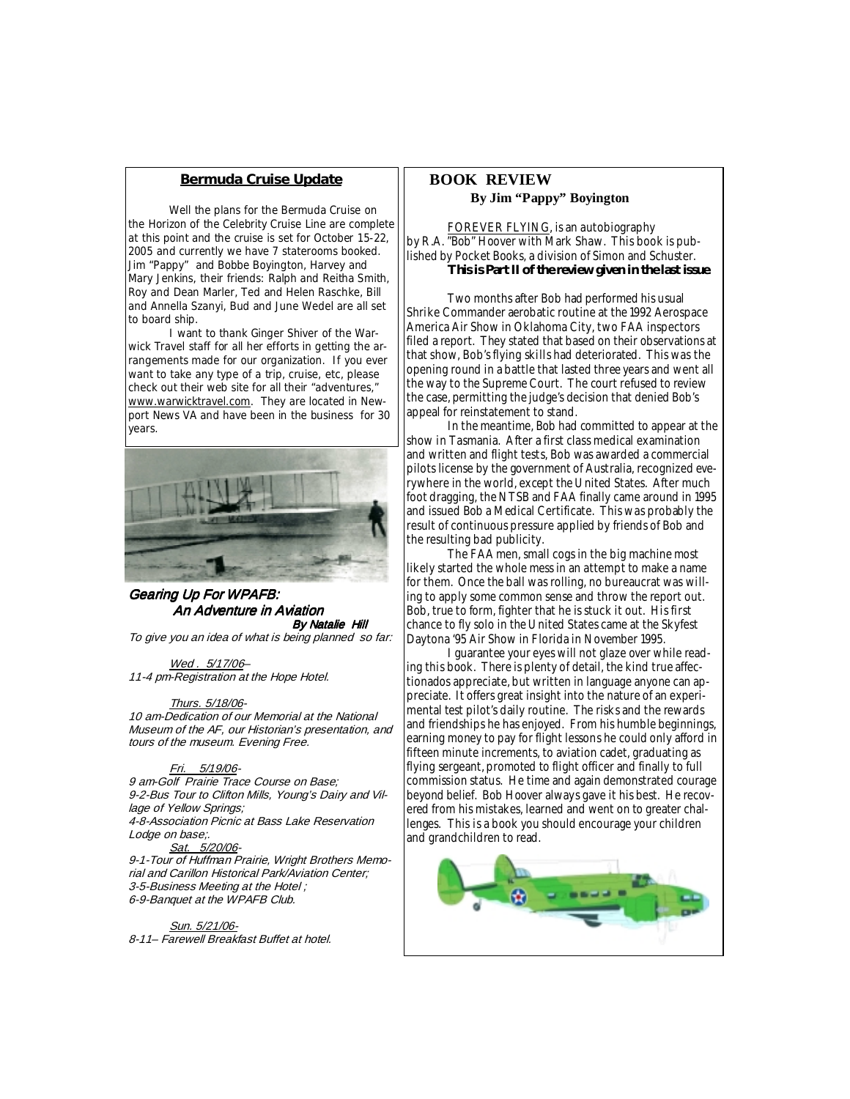#### **Bermuda Cruise Update**

Well the plans for the Bermuda Cruise on the Horizon of the Celebrity Cruise Line are complete at this point and the cruise is set for October 15-22, 2005 and currently we have 7 staterooms booked. Jim "Pappy" and Bobbe Boyington, Harvey and Mary Jenkins, their friends: Ralph and Reitha Smith, Roy and Dean Marler, Ted and Helen Raschke, Bill and Annella Szanyi, Bud and June Wedel are all set to board ship.

 I want to thank Ginger Shiver of the Warwick Travel staff for all her efforts in getting the arrangements made for our organization. If you ever want to take any type of a trip, cruise, etc, please check out their web site for all their "adventures," www.warwicktravel.com. They are located in Newport News VA and have been in the business for 30 years.



Gearing Up For WPAFB: **An Adventure in Aviation** By Natalie Hill

To give you an idea of what is being planned so far:

#### Wed. 5/17/06-

11-4 pm-Registration at the Hope Hotel.

#### Thurs. 5/18/06-

10 am-Dedication of our Memorial at the National Museum of the AF, our Historian's presentation, and tours of the museum. Evening Free.

#### Fri. 5/19/06-

9 am-Golf Prairie Trace Course on Base; 9-2-Bus Tour to Clifton Mills, Young's Dairy and Village of Yellow Springs; 4-8-Association Picnic at Bass Lake Reservation

Lodge on base;.

#### Sat. 5/20/06-

9-1-Tour of Huffman Prairie, Wright Brothers Memorial and Carillon Historical Park/Aviation Center; 3-5-Business Meeting at the Hotel ; 6-9-Banquet at the WPAFB Club.

 Sun. 5/21/06- 8-11– Farewell Breakfast Buffet at hotel.

#### **BOOK REVIEW By Jim "Pappy" Boyington**

 FOREVER FLYING, is an autobiography by R.A. "Bob" Hoover with Mark Shaw. This book is published by Pocket Books, a division of Simon and Schuster. **This is Part II of the review given in the last issue**.

 Two months after Bob had performed his usual Shrike Commander aerobatic routine at the 1992 Aerospace America Air Show in Oklahoma City, two FAA inspectors filed a report. They stated that based on their observations at that show, Bob's flying skills had deteriorated. This was the opening round in a battle that lasted three years and went all the way to the Supreme Court. The court refused to review the case, permitting the judge's decision that denied Bob's appeal for reinstatement to stand.

 In the meantime, Bob had committed to appear at the show in Tasmania. After a first class medical examination and written and flight tests, Bob was awarded a commercial pilots license by the government of Australia, recognized everywhere in the world, except the United States. After much foot dragging, the NTSB and FAA finally came around in 1995 and issued Bob a Medical Certificate. This was probably the result of continuous pressure applied by friends of Bob and the resulting bad publicity.

 The FAA men, small cogs in the big machine most likely started the whole mess in an attempt to make a name for them. Once the ball was rolling, no bureaucrat was willing to apply some common sense and throw the report out. Bob, true to form, fighter that he is stuck it out. His first chance to fly solo in the United States came at the Skyfest Daytona '95 Air Show in Florida in November 1995.

 I guarantee your eyes will not glaze over while reading this book. There is plenty of detail, the kind true affectionados appreciate, but written in language anyone can appreciate. It offers great insight into the nature of an experimental test pilot's daily routine. The risks and the rewards and friendships he has enjoyed. From his humble beginnings, earning money to pay for flight lessons he could only afford in fifteen minute increments, to aviation cadet, graduating as flying sergeant, promoted to flight officer and finally to full commission status. He time and again demonstrated courage beyond belief. Bob Hoover always gave it his best. He recovered from his mistakes, learned and went on to greater challenges. This is a book you should encourage your children and grandchildren to read.

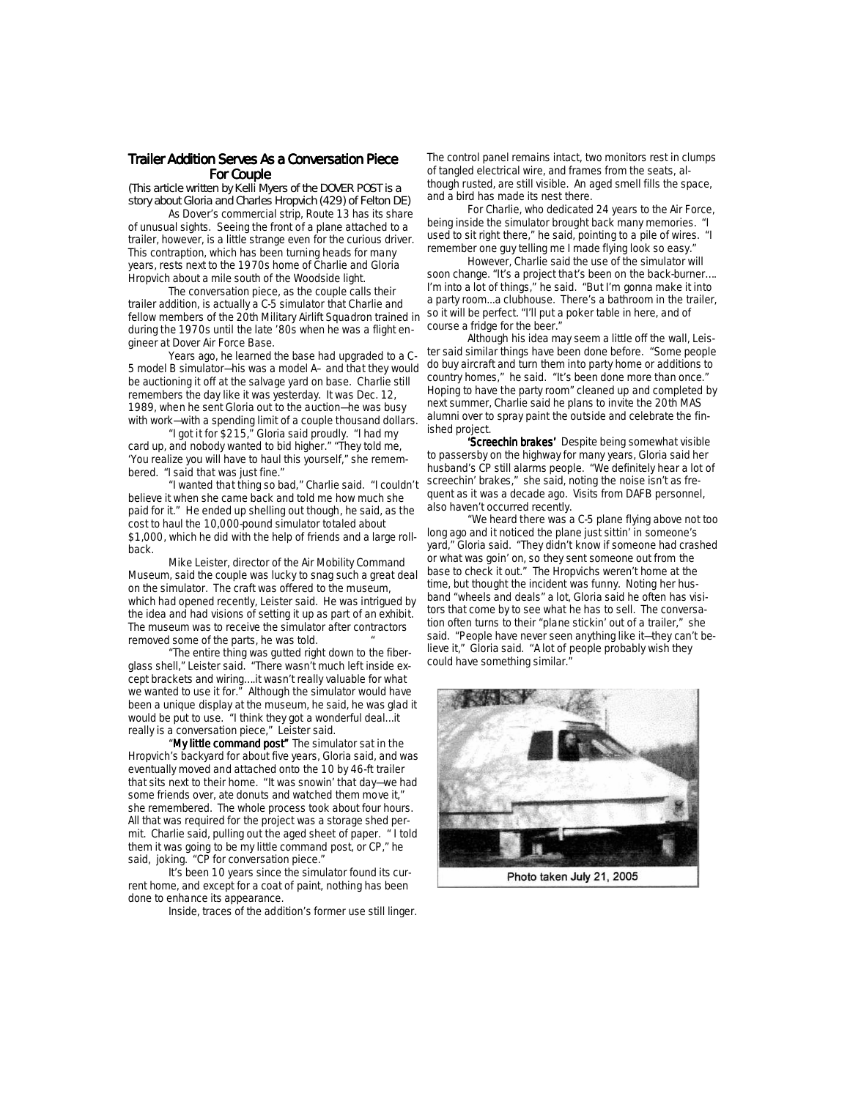### *Trailer Addition Serves As a Conversation Piece Trailer Addition Serves As a Conversation Piece railer Addition Serves As a Conversation Piece railer Serves As a Piece For Couple For Couple Couple Couple (This article written by Kelli Myers of the DOVER POST is a*

*story about Gloria and Charles Hropvich (429) of Felton DE)*

As Dover's commercial strip, Route 13 has its share of unusual sights. Seeing the front of a plane attached to a trailer, however, is a little strange even for the curious driver. This contraption, which has been turning heads for many years, rests next to the 1970s home of Charlie and Gloria Hropvich about a mile south of the Woodside light.

 The conversation piece, as the couple calls their trailer addition, is actually a C-5 simulator that Charlie and fellow members of the 20th Military Airlift Squadron trained in during the 1970s until the late '80s when he was a flight engineer at Dover Air Force Base.

 Years ago, he learned the base had upgraded to a C-5 model B simulator—his was a model A– and that they would be auctioning it off at the salvage yard on base. Charlie still remembers the day like it was yesterday. It was Dec. 12, 1989, when he sent Gloria out to the auction—he was busy with work—with a spending limit of a couple thousand dollars.

 "I got it for \$215," Gloria said proudly. "I had my card up, and nobody wanted to bid higher." "They told me, 'You realize you will have to haul this yourself," she remembered. "I said that was just fine."

 "I wanted that thing so bad," Charlie said. "I couldn't believe it when she came back and told me how much she paid for it." He ended up shelling out though, he said, as the cost to haul the 10,000-pound simulator totaled about \$1,000, which he did with the help of friends and a large rollback.

Mike Leister, director of the Air Mobility Command Museum, said the couple was lucky to snag such a great deal on the simulator. The craft was offered to the museum, which had opened recently, Leister said. He was intrigued by the idea and had visions of setting it up as part of an exhibit. The museum was to receive the simulator after contractors removed some of the parts, he was told.

 "The entire thing was gutted right down to the fiberglass shell," Leister said. "There wasn't much left inside except brackets and wiring….it wasn't really valuable for what we wanted to use it for." Although the simulator would have been a unique display at the museum, he said, he was glad it would be put to use. "I think they got a wonderful deal...it really is a conversation piece," Leister said.

"My little command post" The simulator sat in the Hropvich's backyard for about five years, Gloria said, and was eventually moved and attached onto the 10 by 46-ft trailer that sits next to their home. "It was snowin' that day—we had some friends over, ate donuts and watched them move it," she remembered. The whole process took about four hours. All that was required for the project was a storage shed permit. Charlie said, pulling out the aged sheet of paper. " I told them it was going to be my little command post, or CP," he said, joking. "CP for conversation piece."

 It's been 10 years since the simulator found its current home, and except for a coat of paint, nothing has been done to enhance its appearance.

Inside, traces of the addition's former use still linger.

The control panel remains intact, two monitors rest in clumps of tangled electrical wire, and frames from the seats, although rusted, are still visible. An aged smell fills the space, and a bird has made its nest there.

 For Charlie, who dedicated 24 years to the Air Force, being inside the simulator brought back many memories. "I used to sit right there," he said, pointing to a pile of wires. "I remember one guy telling me I made flying look so easy."

 However, Charlie said the use of the simulator will soon change. "It's a project that's been on the back-burner…. I'm into a lot of things," he said. "But I'm gonna make it into a party room...a clubhouse. There's a bathroom in the trailer, so it will be perfect. "I'll put a poker table in here, and of course a fridge for the beer."

 Although his idea may seem a little off the wall, Leister said similar things have been done before. "Some people do buy aircraft and turn them into party home or additions to country homes," he said. "It's been done more than once." Hoping to have the party room" cleaned up and completed by next summer, Charlie said he plans to invite the 20th MAS alumni over to spray paint the outside and celebrate the finished project.

'Screechin brakes' Despite being somewhat visible to passersby on the highway for many years, Gloria said her husband's CP still alarms people. "We definitely hear a lot of screechin' brakes," she said, noting the noise isn't as frequent as it was a decade ago. Visits from DAFB personnel, also haven't occurred recently.

 "We heard there was a C-5 plane flying above not too long ago and it noticed the plane just sittin' in someone's yard," Gloria said. "They didn't know if someone had crashed or what was goin' on, so they sent someone out from the base to check it out." The Hropvichs weren't home at the time, but thought the incident was funny. Noting her husband "wheels and deals" a lot, Gloria said he often has visitors that come by to see what he has to sell. The conversation often turns to their "plane stickin' out of a trailer," she said. "People have never seen anything like it—they can't believe it," Gloria said. "A lot of people probably wish they could have something similar."



Photo taken July 21, 2005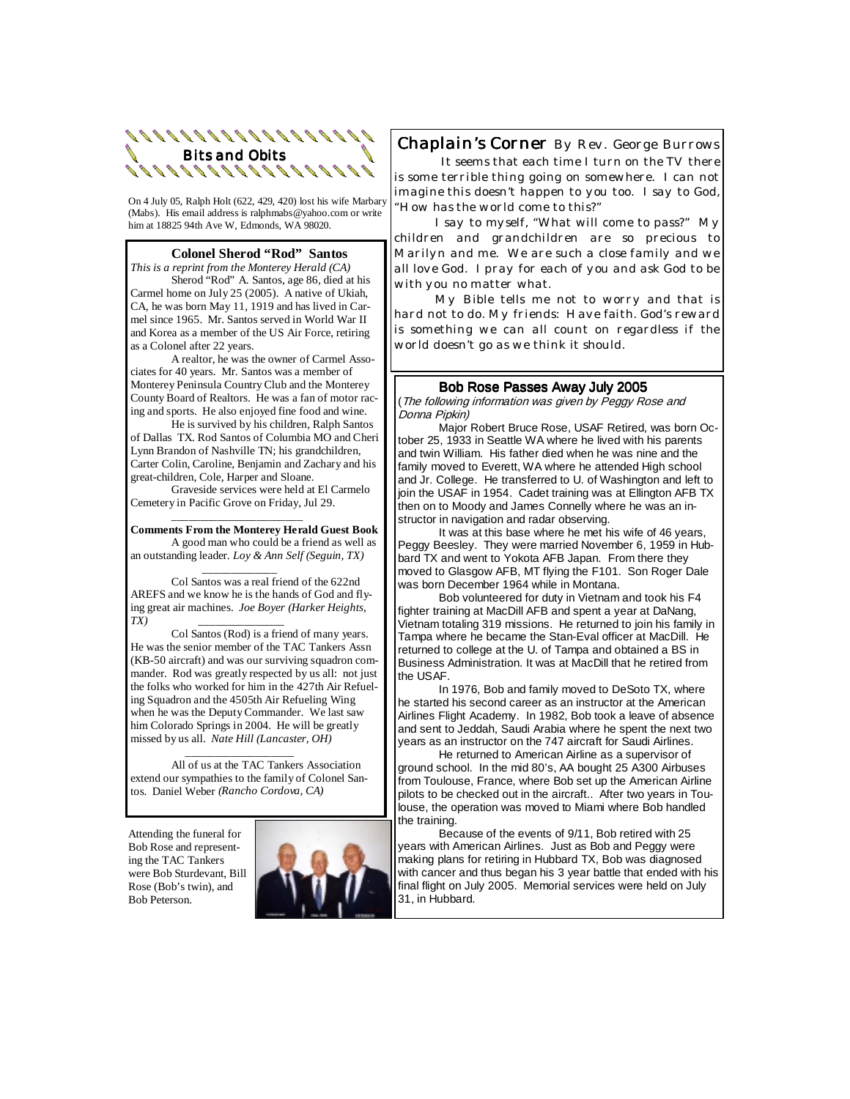

On 4 July 05, Ralph Holt (622, 429, 420) lost his wife Marbary (Mabs). His email address is ralphmabs@yahoo.com or write him at 18825 94th Ave W, Edmonds, WA 98020.

#### **Colonel Sherod "Rod" Santos**

*This is a reprint from the Monterey Herald (CA)* Sherod "Rod" A. Santos, age 86, died at his Carmel home on July 25 (2005). A native of Ukiah, CA, he was born May 11, 1919 and has lived in Carmel since 1965. Mr. Santos served in World War II and Korea as a member of the US Air Force, retiring as a Colonel after 22 years.

 A realtor, he was the owner of Carmel Associates for 40 years. Mr. Santos was a member of Monterey Peninsula Country Club and the Monterey County Board of Realtors. He was a fan of motor racing and sports. He also enjoyed fine food and wine.

 He is survived by his children, Ralph Santos of Dallas TX. Rod Santos of Columbia MO and Cheri Lynn Brandon of Nashville TN; his grandchildren, Carter Colin, Caroline, Benjamin and Zachary and his great-children, Cole, Harper and Sloane.

 Graveside services were held at El Carmelo Cemetery in Pacific Grove on Friday, Jul 29.

 $\frac{1}{2}$  ,  $\frac{1}{2}$  ,  $\frac{1}{2}$  ,  $\frac{1}{2}$  ,  $\frac{1}{2}$  ,  $\frac{1}{2}$  ,  $\frac{1}{2}$  ,  $\frac{1}{2}$  ,  $\frac{1}{2}$  ,  $\frac{1}{2}$  ,  $\frac{1}{2}$  ,  $\frac{1}{2}$  ,  $\frac{1}{2}$  ,  $\frac{1}{2}$  ,  $\frac{1}{2}$  ,  $\frac{1}{2}$  ,  $\frac{1}{2}$  ,  $\frac{1}{2}$  ,  $\frac{1$ 

**Comments From the Monterey Herald Guest Book** A good man who could be a friend as well as an outstanding leader. *Loy & Ann Self (Seguin, TX)* 

 *\_\_\_\_\_\_\_\_\_\_\_\_\_*  Col Santos was a real friend of the 622nd AREFS and we know he is the hands of God and flying great air machines. *Joe Boyer (Harker Heights, TX) \_\_\_\_\_\_\_\_\_\_\_\_\_\_\_* 

Col Santos (Rod) is a friend of many years. He was the senior member of the TAC Tankers Assn (KB-50 aircraft) and was our surviving squadron commander. Rod was greatly respected by us all: not just the folks who worked for him in the 427th Air Refueling Squadron and the 4505th Air Refueling Wing when he was the Deputy Commander. We last saw him Colorado Springs in 2004. He will be greatly missed by us all. *Nate Hill (Lancaster, OH)* 

 *\_\_\_\_\_\_\_\_\_\_\_\_\_\_\_\_\_\_\_* All of us at the TAC Tankers Association extend our sympathies to the family of Colonel Santos. Daniel Weber *(Rancho Cordova, CA)* 

Attending the funeral for Bob Rose and representing the TAC Tankers were Bob Sturdevant, Bill Rose (Bob's twin), and Bob Peterson.



*Chaplain's Corner By Rev. George Burrows It seems that each time I turn on the TV there is some terrible thing going on somewhere. I can not imagine this doesn't happen to you too. I say to God,* 

*"How has the world come to this?" I say to myself, "What will come to pass?" My* 

*children and grandchildren are so precious to Marilyn and me. We are such a close family and we all love God. I pray for each of you and ask God to be with you no matter what.* 

 *My Bible tells me not to worry and that is hard not to do. My friends: Have faith. God's reward is something we can all count on regardless if the world doesn't go as we think it should.* 

Bob Rose Passes Away July 2005<br>(The following information was given by Peggy Rose and Donna Pipkin)

 Major Robert Bruce Rose, USAF Retired, was born October 25, 1933 in Seattle WA where he lived with his parents and twin William. His father died when he was nine and the family moved to Everett, WA where he attended High school and Jr. College. He transferred to U. of Washington and left to join the USAF in 1954. Cadet training was at Ellington AFB TX then on to Moody and James Connelly where he was an instructor in navigation and radar observing.

 It was at this base where he met his wife of 46 years, Peggy Beesley. They were married November 6, 1959 in Hubbard TX and went to Yokota AFB Japan. From there they moved to Glasgow AFB, MT flying the F101. Son Roger Dale was born December 1964 while in Montana.

 Bob volunteered for duty in Vietnam and took his F4 fighter training at MacDill AFB and spent a year at DaNang, Vietnam totaling 319 missions. He returned to join his family in Tampa where he became the Stan-Eval officer at MacDill. He returned to college at the U. of Tampa and obtained a BS in Business Administration. It was at MacDill that he retired from the USAF.

 In 1976, Bob and family moved to DeSoto TX, where he started his second career as an instructor at the American Airlines Flight Academy. In 1982, Bob took a leave of absence and sent to Jeddah, Saudi Arabia where he spent the next two years as an instructor on the 747 aircraft for Saudi Airlines.

 He returned to American Airline as a supervisor of ground school. In the mid 80's, AA bought 25 A300 Airbuses from Toulouse, France, where Bob set up the American Airline pilots to be checked out in the aircraft.. After two years in Toulouse, the operation was moved to Miami where Bob handled the training.

 Because of the events of 9/11, Bob retired with 25 years with American Airlines. Just as Bob and Peggy were making plans for retiring in Hubbard TX, Bob was diagnosed with cancer and thus began his 3 year battle that ended with his final flight on July 2005. Memorial services were held on July 31, in Hubbard.